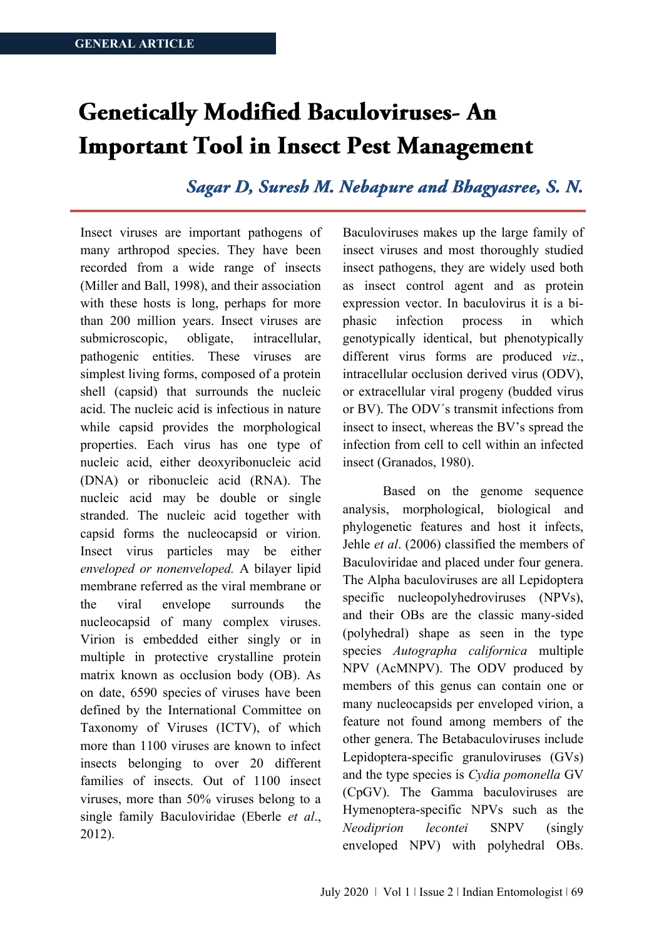# **Genetically Modified Baculoviruses-An Important Tool in Insect Pest Management**

Sagar D, Suresh M. Nebapure and Bhagyasree, S. N.

Insect viruses are important pathogens of many arthropod species. They have been recorded from a wide range of insects (Miller and Ball, 1998), and their association with these hosts is long, perhaps for more than 200 million years. Insect viruses are submicroscopic, obligate, intracellular, pathogenic entities. These viruses are simplest living forms, composed of a protein shell (capsid) that surrounds the nucleic acid. The nucleic acid is infectious in nature while capsid provides the morphological properties. Each virus has one type of nucleic acid, either deoxyribonucleic acid (DNA) or ribonucleic acid (RNA). The nucleic acid may be double or single stranded. The nucleic acid together with capsid forms the nucleocapsid or virion. Insect virus particles may be either *enveloped or nonenveloped.* A bilayer lipid membrane referred as the viral membrane or the viral envelope surrounds the nucleocapsid of many complex viruses. Virion is embedded either singly or in multiple in protective crystalline protein matrix known as occlusion body (OB). As on date, 6590 species of viruses have been defined by the International Committee on Taxonomy of Viruses (ICTV), of which more than 1100 viruses are known to infect insects belonging to over 20 different families of insects. Out of 1100 insect viruses, more than 50% viruses belong to a single family Baculoviridae (Eberle *et al*., 2012).

Baculoviruses makes up the large family of insect viruses and most thoroughly studied insect pathogens, they are widely used both as insect control agent and as protein expression vector. In baculovirus it is a biphasic infection process in which genotypically identical, but phenotypically different virus forms are produced *viz*., intracellular occlusion derived virus (ODV), or extracellular viral progeny (budded virus or BV). The ODV´s transmit infections from insect to insect, whereas the BV's spread the infection from cell to cell within an infected insect (Granados, 1980).

Based on the genome sequence analysis, morphological, biological and phylogenetic features and host it infects, Jehle *et al*. (2006) classified the members of Baculoviridae and placed under four genera. The Alpha baculoviruses are all Lepidoptera specific nucleopolyhedroviruses (NPVs), and their OBs are the classic many-sided (polyhedral) shape as seen in the type species *Autographa californica* multiple NPV (AcMNPV). The ODV produced by members of this genus can contain one or many nucleocapsids per enveloped virion, a feature not found among members of the other genera. The Betabaculoviruses include Lepidoptera-specific granuloviruses (GVs) and the type species is *Cydia pomonella* GV (CpGV). The Gamma baculoviruses are Hymenoptera-specific NPVs such as the *Neodiprion lecontei* SNPV (singly enveloped NPV) with polyhedral OBs.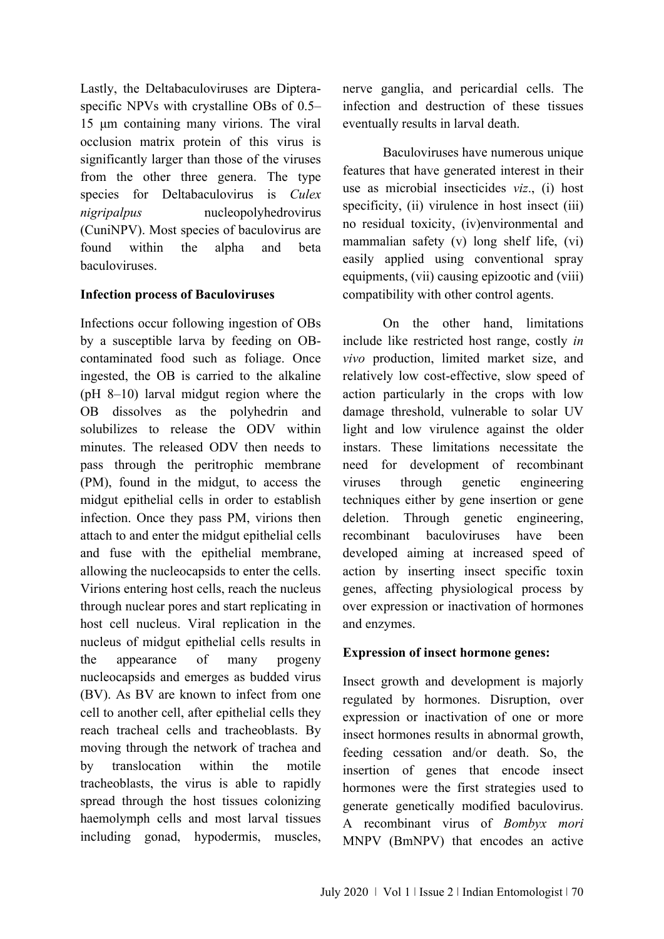Lastly, the Deltabaculoviruses are Dipteraspecific NPVs with crystalline OBs of 0.5– 15 μm containing many virions. The viral occlusion matrix protein of this virus is significantly larger than those of the viruses from the other three genera. The type species for Deltabaculovirus is *Culex nigripalpus* nucleopolyhedrovirus (CuniNPV). Most species of baculovirus are found within the alpha and beta baculoviruses.

#### **Infection process of Baculoviruses**

Infections occur following ingestion of OBs by a susceptible larva by feeding on OBcontaminated food such as foliage. Once ingested, the OB is carried to the alkaline (pH 8–10) larval midgut region where the OB dissolves as the polyhedrin and solubilizes to release the ODV within minutes. The released ODV then needs to pass through the peritrophic membrane (PM), found in the midgut, to access the midgut epithelial cells in order to establish infection. Once they pass PM, virions then attach to and enter the midgut epithelial cells and fuse with the epithelial membrane, allowing the nucleocapsids to enter the cells. Virions entering host cells, reach the nucleus through nuclear pores and start replicating in host cell nucleus. Viral replication in the nucleus of midgut epithelial cells results in the appearance of many progeny nucleocapsids and emerges as budded virus (BV). As BV are known to infect from one cell to another cell, after epithelial cells they reach tracheal cells and tracheoblasts. By moving through the network of trachea and by translocation within the motile tracheoblasts, the virus is able to rapidly spread through the host tissues colonizing haemolymph cells and most larval tissues including gonad, hypodermis, muscles,

nerve ganglia, and pericardial cells. The infection and destruction of these tissues eventually results in larval death.

Baculoviruses have numerous unique features that have generated interest in their use as microbial insecticides *viz*., (i) host specificity, (ii) virulence in host insect (iii) no residual toxicity, (iv)environmental and mammalian safety (v) long shelf life, (vi) easily applied using conventional spray equipments, (vii) causing epizootic and (viii) compatibility with other control agents.

On the other hand, limitations include like restricted host range, costly *in vivo* production, limited market size, and relatively low cost-effective, slow speed of action particularly in the crops with low damage threshold, vulnerable to solar UV light and low virulence against the older instars. These limitations necessitate the need for development of recombinant viruses through genetic engineering techniques either by gene insertion or gene deletion. Through genetic engineering, recombinant baculoviruses have been developed aiming at increased speed of action by inserting insect specific toxin genes, affecting physiological process by over expression or inactivation of hormones and enzymes.

#### **Expression of insect hormone genes:**

Insect growth and development is majorly regulated by hormones. Disruption, over expression or inactivation of one or more insect hormones results in abnormal growth, feeding cessation and/or death. So, the insertion of genes that encode insect hormones were the first strategies used to generate genetically modified baculovirus. A recombinant virus of *Bombyx mori*  MNPV (BmNPV) that encodes an active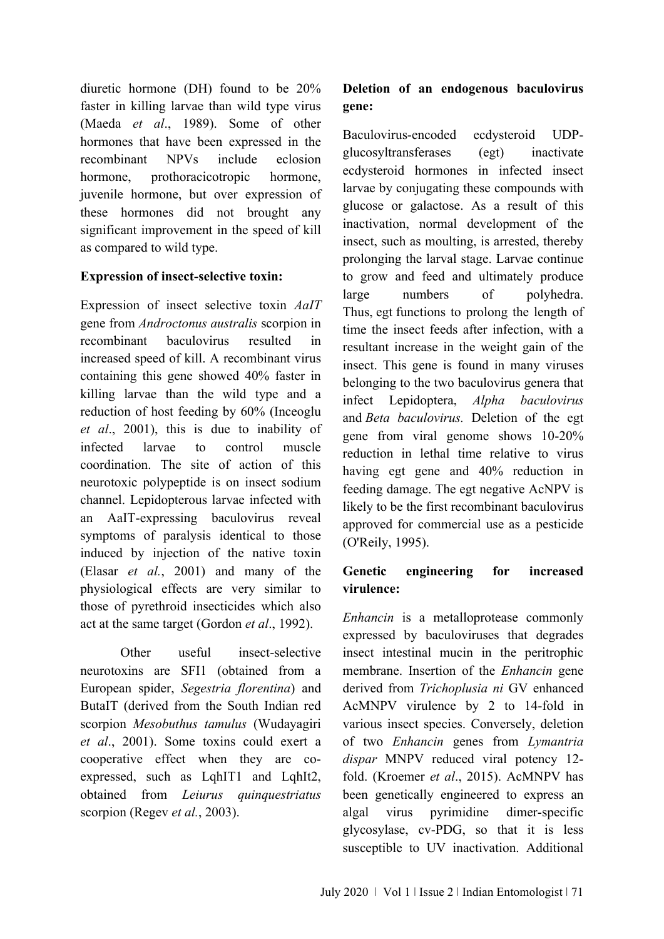diuretic hormone (DH) found to be 20% faster in killing larvae than wild type virus (Maeda *et al*., 1989). Some of other hormones that have been expressed in the recombinant NPVs include eclosion hormone, prothoracicotropic hormone, juvenile hormone, but over expression of these hormones did not brought any significant improvement in the speed of kill as compared to wild type.

#### **Expression of insect-selective toxin:**

Expression of insect selective toxin *AaIT*  gene from *Androctonus australis* scorpion in recombinant baculovirus resulted in increased speed of kill. A recombinant virus containing this gene showed 40% faster in killing larvae than the wild type and a reduction of host feeding by 60% (Inceoglu *et al*., 2001), this is due to inability of infected larvae to control muscle coordination. The site of action of this neurotoxic polypeptide is on insect sodium channel. Lepidopterous larvae infected with an AaIT-expressing baculovirus reveal symptoms of paralysis identical to those induced by injection of the native toxin (Elasar *et al.*, 2001) and many of the physiological effects are very similar to those of pyrethroid insecticides which also act at the same target (Gordon *et al*., 1992).

Other useful insect-selective neurotoxins are SFI1 (obtained from a European spider, *Segestria florentina*) and ButaIT (derived from the South Indian red scorpion *Mesobuthus tamulus* (Wudayagiri *et al*., 2001). Some toxins could exert a cooperative effect when they are coexpressed, such as LqhIT1 and LqhIt2, obtained from *Leiurus quinquestriatus*  scorpion (Regev *et al.*, 2003).

# **Deletion of an endogenous baculovirus gene:**

Baculovirus-encoded ecdysteroid UDPglucosyltransferases (egt) inactivate ecdysteroid hormones in infected insect larvae by conjugating these compounds with glucose or galactose. As a result of this inactivation, normal development of the insect, such as moulting, is arrested, thereby prolonging the larval stage. Larvae continue to grow and feed and ultimately produce large numbers of polyhedra. Thus, egt functions to prolong the length of time the insect feeds after infection, with a resultant increase in the weight gain of the insect. This gene is found in many viruses belonging to the two baculovirus genera that infect Lepidoptera, *Alpha baculovirus* and *Beta baculovirus.* Deletion of the egt gene from viral genome shows 10-20% reduction in lethal time relative to virus having egt gene and 40% reduction in feeding damage. The egt negative AcNPV is likely to be the first recombinant baculovirus approved for commercial use as a pesticide (O'Reily, 1995).

## **Genetic engineering for increased virulence:**

*Enhancin* is a metalloprotease commonly expressed by baculoviruses that degrades insect intestinal mucin in the peritrophic membrane. Insertion of the *Enhancin* gene derived from *Trichoplusia ni* GV enhanced AcMNPV virulence by 2 to 14-fold in various insect species. Conversely, deletion of two *Enhancin* genes from *Lymantria dispar* MNPV reduced viral potency 12 fold. (Kroemer *et al*., 2015). AcMNPV has been genetically engineered to express an algal virus pyrimidine dimer-specific glycosylase, cv-PDG, so that it is less susceptible to UV inactivation. Additional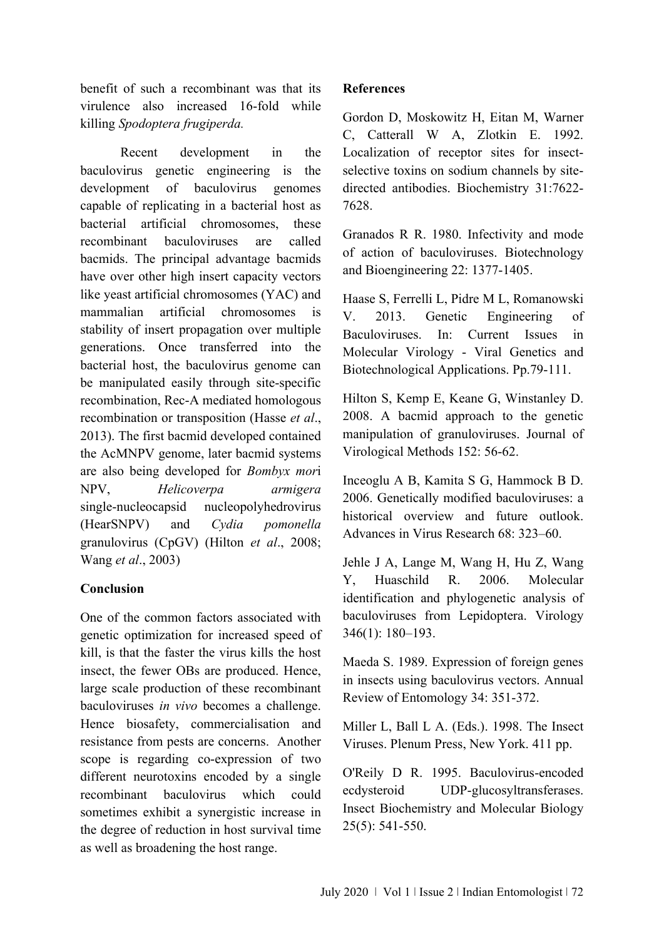benefit of such a recombinant was that its virulence also increased 16-fold while killing *Spodoptera frugiperda.*

Recent development in the baculovirus genetic engineering is the development of baculovirus genomes capable of replicating in a bacterial host as bacterial artificial chromosomes, these recombinant baculoviruses are called bacmids. The principal advantage bacmids have over other high insert capacity vectors like yeast artificial chromosomes (YAC) and mammalian artificial chromosomes is stability of insert propagation over multiple generations. Once transferred into the bacterial host, the baculovirus genome can be manipulated easily through site‐specific recombination, Rec‐A mediated homologous recombination or transposition (Hasse *et al*., 2013). The first bacmid developed contained the AcMNPV genome, later bacmid systems are also being developed for *Bombyx mor*i NPV, *Helicoverpa armigera* single‐nucleocapsid nucleopolyhedrovirus (HearSNPV) and *Cydia pomonella* granulovirus (CpGV) (Hilton *et al*., 2008; Wang *et al*., 2003)

## **Conclusion**

One of the common factors associated with genetic optimization for increased speed of kill, is that the faster the virus kills the host insect, the fewer OBs are produced. Hence, large scale production of these recombinant baculoviruses *in vivo* becomes a challenge. Hence biosafety, commercialisation and resistance from pests are concerns. Another scope is regarding co-expression of two different neurotoxins encoded by a single recombinant baculovirus which could sometimes exhibit a synergistic increase in the degree of reduction in host survival time as well as broadening the host range.

### **References**

Gordon D, Moskowitz H, Eitan M, Warner C, Catterall W A, Zlotkin E. 1992. Localization of receptor sites for insectselective toxins on sodium channels by sitedirected antibodies. Biochemistry 31:7622- 7628.

Granados R R. 1980. Infectivity and mode of action of baculoviruses. Biotechnology and Bioengineering 22: 1377-1405.

Haase S, Ferrelli L, Pidre M L, Romanowski V. 2013. Genetic Engineering of Baculoviruses. In: Current Issues in Molecular Virology - Viral Genetics and Biotechnological Applications. Pp.79-111.

Hilton S, Kemp E, Keane G, Winstanley D. 2008. A bacmid approach to the genetic manipulation of granuloviruses. Journal of Virological Methods 152: 56‐62.

Inceoglu A B, Kamita S G, Hammock B D. 2006. Genetically modified baculoviruses: a historical overview and future outlook. Advances in Virus Research 68: 323–60.

Jehle J A, Lange M, Wang H, Hu Z, Wang Y, Huaschild R. 2006. Molecular identification and phylogenetic analysis of baculoviruses from Lepidoptera. Virology 346(1): 180–193.

Maeda S. 1989. Expression of foreign genes in insects using baculovirus vectors. Annual Review of Entomology 34: 351-372.

Miller L, Ball L A. (Eds.). 1998. The Insect Viruses. Plenum Press, New York. 411 pp.

O'Reily D R. 1995. Baculovirus-encoded ecdysteroid UDP-glucosyltransferases. Insect Biochemistry and Molecular Biology 25(5): 541-550.